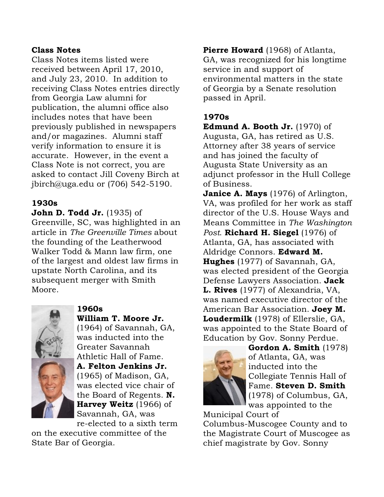#### Class Notes

Class Notes items listed were received between April 17, 2010, and July 23, 2010. In addition to receiving Class Notes entries directly from Georgia Law alumni for publication, the alumni office also includes notes that have been previously published in newspapers and/or magazines. Alumni staff verify information to ensure it is accurate. However, in the event a Class Note is not correct, you are asked to contact Jill Coveny Birch at jbirch@uga.edu or (706) 542-5190.

## 1930s

## **John D. Todd Jr.** (1935) of

Greenville, SC, was highlighted in an article in *The Greenville Times* about the founding of the Leatherwood Walker Todd & Mann law firm, one of the largest and oldest law firms in upstate North Carolina, and its subsequent merger with Smith Moore.



William T. Moore Jr. (1964) of Savannah, GA, was inducted into the Greater Savannah Athletic Hall of Fame. A. Felton Jenkins Jr. (1965) of Madison, GA, was elected vice chair of the Board of Regents. N. Harvey Weitz (1966) of Savannah, GA, was re-elected to a sixth term

on the executive committee of the State Bar of Georgia.

**Pierre Howard** (1968) of Atlanta, GA, was recognized for his longtime service in and support of environmental matters in the state of Georgia by a Senate resolution passed in April.

## 1970s

**Edmund A. Booth Jr.**  $(1970)$  of Augusta, GA, has retired as U.S. Attorney after 38 years of service and has joined the faculty of Augusta State University as an adjunct professor in the Hull College of Business.

**Janice A. Mays** (1976) of Arlington, VA, was profiled for her work as staff director of the U.S. House Ways and Means Committee in *The Washington Post*. Richard H. Siegel (1976) of Atlanta, GA, has associated with Aldridge Connors. Edward M. **Hughes** (1977) of Savannah, GA, was elected president of the Georgia Defense Lawyers Association. Jack L. Rives (1977) of Alexandria, VA, was named executive director of the American Bar Association. Joey M. Loudermilk (1978) of Ellerslie, GA, was appointed to the State Board of Education by Gov. Sonny Perdue.



Gordon A. Smith (1978) of Atlanta, GA, was inducted into the Collegiate Tennis Hall of Fame. Steven D. Smith (1978) of Columbus, GA, was appointed to the

Municipal Court of

Columbus-Muscogee County and to the Magistrate Court of Muscogee as chief magistrate by Gov. Sonny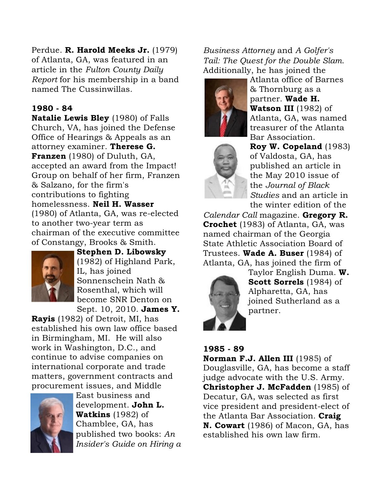# Perdue. R. Harold Meeks Jr. (1979)

of Atlanta, GA, was featured in an article in the *Fulton County Daily Report* for his membership in a band named The Cussinwillas.

## 1980 - 84

Natalie Lewis Bley (1980) of Falls Church, VA, has joined the Defense Office of Hearings & Appeals as an attorney examiner. Therese G. Franzen (1980) of Duluth, GA, accepted an award from the Impact! Group on behalf of her firm, Franzen & Salzano, for the firm's contributions to fighting homelessness. Neil H. Wasser (1980) of Atlanta, GA, was re-elected to another two-year term as chairman of the executive committee of Constangy, Brooks & Smith.



Stephen D. Libowsky (1982) of Highland Park, IL, has joined Sonnenschein Nath & Rosenthal, which will become SNR Denton on Sept. 10, 2010. James Y.

Rayis (1982) of Detroit, MI, has established his own law office based in Birmingham, MI. He will also work in Washington, D.C., and continue to advise companies on international corporate and trade matters, government contracts and procurement issues, and Middle



East business and development. John L. **Watkins**  $(1982)$  of Chamblee, GA, has published two books: *An Insider's Guide on Hiring a*

# *Business Attorney* and *A Golfer's Tail: The Quest for the Double Slam*. Additionally, he has joined the





Atlanta office of Barnes & Thornburg as a partner. Wade H. Watson III (1982) of Atlanta, GA, was named treasurer of the Atlanta Bar Association.

Roy W. Copeland (1983) of Valdosta, GA, has published an article in the May 2010 issue of the *Journal of Black Studies* and an article in the winter edition of the

*Calendar Call* magazine. Gregory R. Crochet (1983) of Atlanta, GA, was named chairman of the Georgia State Athletic Association Board of Trustees. Wade A. Buser (1984) of Atlanta, GA, has joined the firm of



Taylor English Duma. W. Scott Sorrels (1984) of Alpharetta, GA, has joined Sutherland as a partner.

## 1985 - 89

Norman F.J. Allen III (1985) of Douglasville, GA, has become a staff judge advocate with the U.S. Army. Christopher J. McFadden (1985) of Decatur, GA, was selected as first vice president and president-elect of the Atlanta Bar Association. Craig N. Cowart (1986) of Macon, GA, has established his own law firm.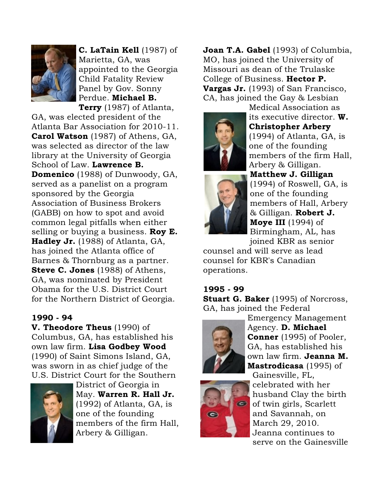

C. LaTain Kell (1987) of Marietta, GA, was appointed to the Georgia Child Fatality Review Panel by Gov. Sonny Perdue. Michael B. Terry (1987) of Atlanta,

GA, was elected president of the Atlanta Bar Association for 2010-11. Carol Watson (1987) of Athens, GA, was selected as director of the law library at the University of Georgia School of Law. Lawrence B. Domenico (1988) of Dunwoody, GA, served as a panelist on a program sponsored by the Georgia Association of Business Brokers (GABB) on how to spot and avoid common legal pitfalls when either selling or buying a business. Roy  $E$ . Hadley Jr. (1988) of Atlanta, GA, has joined the Atlanta office of Barnes & Thornburg as a partner. Steve C. Jones (1988) of Athens, GA, was nominated by President Obama for the U.S. District Court for the Northern District of Georgia.

#### 1990 - 94

V. Theodore Theus (1990) of Columbus, GA, has established his own law firm. Lisa Godbey Wood (1990) of Saint Simons Island, GA, was sworn in as chief judge of the U.S. District Court for the Southern



District of Georgia in May. Warren R. Hall Jr. (1992) of Atlanta, GA, is one of the founding members of the firm Hall, Arbery & Gilligan.

Joan T.A. Gabel (1993) of Columbia, MO, has joined the University of Missouri as dean of the Trulaske College of Business. Hector P. Vargas Jr. (1993) of San Francisco, CA, has joined the Gay & Lesbian



Medical Association as its executive director. W. Christopher Arbery (1994) of Atlanta, GA, is one of the founding members of the firm Hall, Arbery & Gilligan. Matthew J. Gilligan



(1994) of Roswell, GA, is one of the founding members of Hall, Arbery & Gilligan. Robert J. **Moye III** (1994) of Birmingham, AL, has

joined KBR as senior counsel and will serve as lead counsel for KBR's Canadian operations.

# 1995 - 99

**Stuart G. Baker** (1995) of Norcross, GA, has joined the Federal



Emergency Management Agency. D. Michael Conner (1995) of Pooler, GA, has established his own law firm. Jeanna M. Mastrodicasa (1995) of



Gainesville, FL, celebrated with her husband Clay the birth of twin girls, Scarlett and Savannah, on March 29, 2010. Jeanna continues to serve on the Gainesville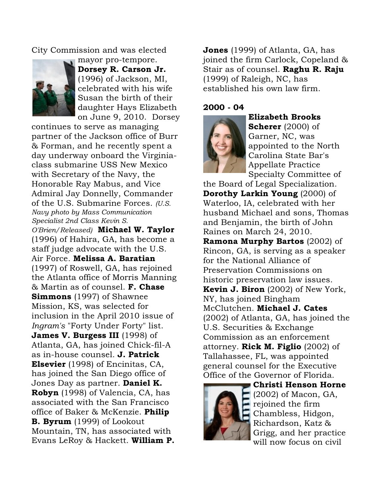City Commission and was elected



mayor pro-tempore. Dorsey R. Carson Jr. (1996) of Jackson, MI, celebrated with his wife Susan the birth of their daughter Hays Elizabeth on June 9, 2010. Dorsey

continues to serve as managing partner of the Jackson office of Burr & Forman, and he recently spent a day underway onboard the Virginiaclass submarine USS New Mexico with Secretary of the Navy, the Honorable Ray Mabus, and Vice Admiral Jay Donnelly, Commander of the U.S. Submarine Forces. *(U.S. Navy photo by Mass Communication Specialist 2nd Class Kevin S. O'Brien/Released)* Michael W. Taylor (1996) of Hahira, GA, has become a staff judge advocate with the U.S. Air Force. Melissa A. Baratian (1997) of Roswell, GA, has rejoined the Atlanta office of Morris Manning & Martin as of counsel. **F. Chase Simmons** (1997) of Shawnee Mission, KS, was selected for inclusion in the April 2010 issue of *Ingram's* "Forty Under Forty" list. James V. Burgess III (1998) of Atlanta, GA, has joined Chick-fil-A as in-house counsel. J. Patrick Elsevier (1998) of Encinitas, CA, has joined the San Diego office of Jones Day as partner. **Daniel K.** Robyn (1998) of Valencia, CA, has associated with the San Francisco office of Baker & McKenzie. Philip B. Byrum (1999) of Lookout Mountain, TN, has associated with Evans LeRoy & Hackett. William P.

**Jones** (1999) of Atlanta, GA, has joined the firm Carlock, Copeland & Stair as of counsel. Raghu R. Raju (1999) of Raleigh, NC, has established his own law firm.

#### 2000 - 04



Elizabeth Brooks Scherer (2000) of Garner, NC, was appointed to the North Carolina State Bar's Appellate Practice Specialty Committee of

the Board of Legal Specialization. Dorothy Larkin Young (2000) of Waterloo, IA, celebrated with her husband Michael and sons, Thomas and Benjamin, the birth of John Raines on March 24, 2010.

Ramona Murphy Bartos (2002) of Rincon, GA, is serving as a speaker for the National Alliance of Preservation Commissions on historic preservation law issues. Kevin J. Biron (2002) of New York, NY, has joined Bingham McClutchen. Michael J. Cates (2002) of Atlanta, GA, has joined the U.S. Securities & Exchange Commission as an enforcement attorney. **Rick M. Figlio**  $(2002)$  of Tallahassee, FL, was appointed general counsel for the Executive Office of the Governor of Florida.



Christi Henson Horne (2002) of Macon, GA, rejoined the firm Chambless, Hidgon, Richardson, Katz & Grigg, and her practice will now focus on civil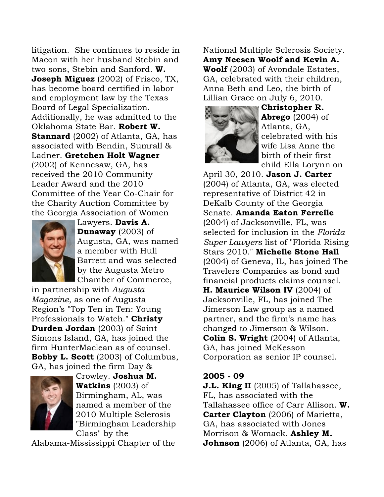litigation. She continues to reside in Macon with her husband Stebin and two sons, Stebin and Sanford. W. Joseph Miguez (2002) of Frisco, TX, has become board certified in labor and employment law by the Texas Board of Legal Specialization. Additionally, he was admitted to the Oklahoma State Bar. Robert W. **Stannard** (2002) of Atlanta, GA, has associated with Bendin, Sumrall & Ladner. Gretchen Holt Wagner (2002) of Kennesaw, GA, has received the 2010 Community Leader Award and the 2010 Committee of the Year Co-Chair for the Charity Auction Committee by the Georgia Association of Women



Lawyers. Davis A. Dunaway (2003) of Augusta, GA, was named a member with Hull Barrett and was selected by the Augusta Metro Chamber of Commerce,

in partnership with *Augusta Magazine*, as one of Augusta Region's "Top Ten in Ten: Young Professionals to Watch." Christy Durden Jordan (2003) of Saint Simons Island, GA, has joined the firm HunterMaclean as of counsel. Bobby L. Scott (2003) of Columbus, GA, has joined the firm Day &



Crowley. Joshua M. **Watkins**  $(2003)$  of Birmingham, AL, was named a member of the 2010 Multiple Sclerosis "Birmingham Leadership Class" by the

Alabama-Mississippi Chapter of the

National Multiple Sclerosis Society. Amy Neesen Woolf and Kevin A. Woolf (2003) of Avondale Estates, GA, celebrated with their children, Anna Beth and Leo, the birth of Lillian Grace on July 6, 2010.



Christopher R. Abrego  $(2004)$  of Atlanta, GA, celebrated with his wife Lisa Anne the birth of their first child Ella Lorynn on

April 30, 2010. Jason J. Carter (2004) of Atlanta, GA, was elected representative of District 42 in DeKalb County of the Georgia Senate. Amanda Eaton Ferrelle (2004) of Jacksonville, FL, was selected for inclusion in the *Florida Super Lawyers* list of "Florida Rising Stars 2010." Michelle Stone Hall (2004) of Geneva, IL, has joined The Travelers Companies as bond and financial products claims counsel. H. Maurice Wilson IV (2004) of Jacksonville, FL, has joined The Jimerson Law group as a named partner, and the firm's name has changed to Jimerson & Wilson. **Colin S. Wright** (2004) of Atlanta, GA, has joined McKesson Corporation as senior IP counsel.

#### 2005 - 09

J.L. King II (2005) of Tallahassee, FL, has associated with the Tallahassee office of Carr Allison. W. Carter Clayton (2006) of Marietta, GA, has associated with Jones Morrison & Womack. Ashley M. **Johnson** (2006) of Atlanta, GA, has